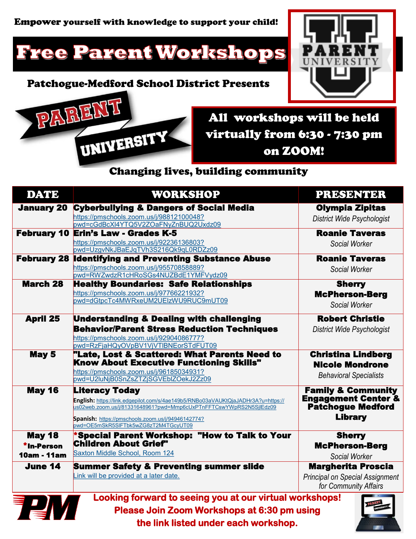# Free Parent Workshops

### Patchogue-Medford School District Presents





All workshops will be held virtually from 6:30 - 7:30 pm on ZOOM!

### Changing lives, building community

| <b>DATE</b>                                | WORKSHOP                                                                                                                                                                                                                                                                     | <b>PRESENTER</b>                                                                                              |
|--------------------------------------------|------------------------------------------------------------------------------------------------------------------------------------------------------------------------------------------------------------------------------------------------------------------------------|---------------------------------------------------------------------------------------------------------------|
| <b>January 20</b>                          | <b>Cyberbullying &amp; Dangers of Social Media</b><br>https://pmschools.zoom.us/j/98812100048?<br>pwd=cGdBcXl4YTQ5V2ZOaFNyZnBUQ2Uxdz09                                                                                                                                       | <b>Olympia Zipitas</b><br>District Wide Psychologist                                                          |
|                                            | <b>February 10 Erin's Law - Grades K-5</b><br>https://pmschools.zoom.us/j/92236136803?<br>pwd=UzgvNkJBaEJqTVh3S216Qk9qL0RDZz09                                                                                                                                               | <b>Roanie Taveras</b><br>Social Worker                                                                        |
| <b>February 28</b>                         | <b>Identifying and Preventing Substance Abuse</b><br>https://pmschools.zoom.us/j/95570858889?<br>pwd=RWZwdzR1cHRoSGs4NUZBdE1YMFVydz09                                                                                                                                        | <b>Roanie Taveras</b><br>Social Worker                                                                        |
| <b>March 28</b>                            | <b>Healthy Boundaries: Safe Relationships</b><br>https://pmschools.zoom.us/j/97766221932?<br>pwd=dGtpcTc4MWRxeUM2UElzWU9RUC9mUT09                                                                                                                                            | <b>Sherry</b><br><b>McPherson-Berg</b><br>Social Worker                                                       |
| <b>April 25</b>                            | <b>Understanding &amp; Dealing with challenging</b><br><b>Behavior/Parent Stress Reduction Techniques</b><br>https://pmschools.zoom.us/j/92904086777?<br>pwd=RzFjaHQyOVpBV1VjVTlBNEorSTdFUT09                                                                                | <b>Robert Christie</b><br>District Wide Psychologist                                                          |
| May 5                                      | "Late, Lost & Scattered: What Parents Need to<br><b>Know About Executive Functioning Skills"</b><br>https://pmschools.zoom.us/j/96185034931?<br>pwd=U2luNjB0SnZsZTZjSGVEblZOekJ2Zz09                                                                                         | <b>Christina Lindberg</b><br><b>Nicole Mondrone</b><br><b>Behavioral Specialists</b>                          |
| <b>May 16</b>                              | <b>Literacy Today</b><br>English: https://link.edgepilot.com/s/4ae149b5/RNBo03aVAUKtQjaJADHr3A?u=https://<br>us02web.zoom.us/j/81331648961?pwd=Mmp6cUxPTnFFTCswYWpRS2N5SjlEdz09<br>Spanish: https://pmschools.zoom.us/j/94946142774?<br>pwd=OE5mSkR5SIFTbk5wZG8zT2M4TGcyUT09 | <b>Family &amp; Community</b><br><b>Engagement Center &amp;</b><br><b>Patchogue Medford</b><br><b>Library</b> |
| <b>May 18</b><br>*In-Person<br>10am - 11am | *Special Parent Workshop: "How to Talk to Your<br><b>Children About Grief"</b><br>Saxton Middle School, Room 124                                                                                                                                                             | <b>Sherry</b><br><b>McPherson-Berg</b><br>Social Worker                                                       |
| June 14                                    | <b>Summer Safety &amp; Preventing summer slide</b><br>Link will be provided at a later date.                                                                                                                                                                                 | <b>Margherita Proscia</b><br><b>Principal on Special Assignment</b><br>for Community Affairs                  |



**Looking forward to seeing you at our virtual workshops! Please Join Zoom Workshops at 6:30 pm using the link listed under each workshop.**